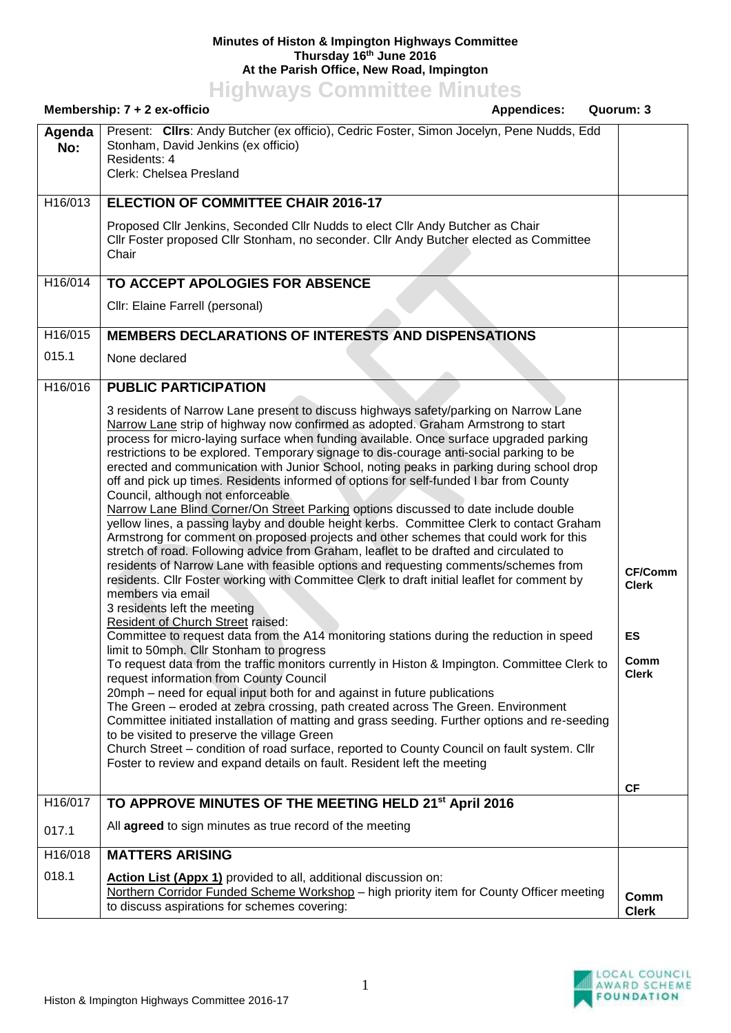## **Minutes of Histon & Impington Highways Committee Thursday 16th June 2016 At the Parish Office, New Road, Impington**

**Highways Committee Minutes**

|               | Membership: 7 + 2 ex-officio<br><b>Appendices:</b><br>Quorum: 3                                                                                                                                                                                                                                                                                                                                                                                                                                                                                                                                                                                                                                                                                                                                                                                                                                                                                                                                                                                                                                                                                                                                                                                                                                                                                                                                                                                                                                                                                                                                                                                                                                                                                                                                                                                                                                                                                                                                                              |                                                                           |
|---------------|------------------------------------------------------------------------------------------------------------------------------------------------------------------------------------------------------------------------------------------------------------------------------------------------------------------------------------------------------------------------------------------------------------------------------------------------------------------------------------------------------------------------------------------------------------------------------------------------------------------------------------------------------------------------------------------------------------------------------------------------------------------------------------------------------------------------------------------------------------------------------------------------------------------------------------------------------------------------------------------------------------------------------------------------------------------------------------------------------------------------------------------------------------------------------------------------------------------------------------------------------------------------------------------------------------------------------------------------------------------------------------------------------------------------------------------------------------------------------------------------------------------------------------------------------------------------------------------------------------------------------------------------------------------------------------------------------------------------------------------------------------------------------------------------------------------------------------------------------------------------------------------------------------------------------------------------------------------------------------------------------------------------------|---------------------------------------------------------------------------|
| Agenda<br>No: | Present: Clirs: Andy Butcher (ex officio), Cedric Foster, Simon Jocelyn, Pene Nudds, Edd<br>Stonham, David Jenkins (ex officio)<br>Residents: 4<br>Clerk: Chelsea Presland                                                                                                                                                                                                                                                                                                                                                                                                                                                                                                                                                                                                                                                                                                                                                                                                                                                                                                                                                                                                                                                                                                                                                                                                                                                                                                                                                                                                                                                                                                                                                                                                                                                                                                                                                                                                                                                   |                                                                           |
| H16/013       | <b>ELECTION OF COMMITTEE CHAIR 2016-17</b>                                                                                                                                                                                                                                                                                                                                                                                                                                                                                                                                                                                                                                                                                                                                                                                                                                                                                                                                                                                                                                                                                                                                                                                                                                                                                                                                                                                                                                                                                                                                                                                                                                                                                                                                                                                                                                                                                                                                                                                   |                                                                           |
|               | Proposed Cllr Jenkins, Seconded Cllr Nudds to elect Cllr Andy Butcher as Chair<br>CIIr Foster proposed CIIr Stonham, no seconder. CIIr Andy Butcher elected as Committee<br>Chair                                                                                                                                                                                                                                                                                                                                                                                                                                                                                                                                                                                                                                                                                                                                                                                                                                                                                                                                                                                                                                                                                                                                                                                                                                                                                                                                                                                                                                                                                                                                                                                                                                                                                                                                                                                                                                            |                                                                           |
| H16/014       | TO ACCEPT APOLOGIES FOR ABSENCE                                                                                                                                                                                                                                                                                                                                                                                                                                                                                                                                                                                                                                                                                                                                                                                                                                                                                                                                                                                                                                                                                                                                                                                                                                                                                                                                                                                                                                                                                                                                                                                                                                                                                                                                                                                                                                                                                                                                                                                              |                                                                           |
|               | Cllr: Elaine Farrell (personal)                                                                                                                                                                                                                                                                                                                                                                                                                                                                                                                                                                                                                                                                                                                                                                                                                                                                                                                                                                                                                                                                                                                                                                                                                                                                                                                                                                                                                                                                                                                                                                                                                                                                                                                                                                                                                                                                                                                                                                                              |                                                                           |
| H16/015       | <b>MEMBERS DECLARATIONS OF INTERESTS AND DISPENSATIONS</b>                                                                                                                                                                                                                                                                                                                                                                                                                                                                                                                                                                                                                                                                                                                                                                                                                                                                                                                                                                                                                                                                                                                                                                                                                                                                                                                                                                                                                                                                                                                                                                                                                                                                                                                                                                                                                                                                                                                                                                   |                                                                           |
| 015.1         | None declared                                                                                                                                                                                                                                                                                                                                                                                                                                                                                                                                                                                                                                                                                                                                                                                                                                                                                                                                                                                                                                                                                                                                                                                                                                                                                                                                                                                                                                                                                                                                                                                                                                                                                                                                                                                                                                                                                                                                                                                                                |                                                                           |
| H16/016       | <b>PUBLIC PARTICIPATION</b>                                                                                                                                                                                                                                                                                                                                                                                                                                                                                                                                                                                                                                                                                                                                                                                                                                                                                                                                                                                                                                                                                                                                                                                                                                                                                                                                                                                                                                                                                                                                                                                                                                                                                                                                                                                                                                                                                                                                                                                                  |                                                                           |
|               | 3 residents of Narrow Lane present to discuss highways safety/parking on Narrow Lane<br>Narrow Lane strip of highway now confirmed as adopted. Graham Armstrong to start<br>process for micro-laying surface when funding available. Once surface upgraded parking<br>restrictions to be explored. Temporary signage to dis-courage anti-social parking to be<br>erected and communication with Junior School, noting peaks in parking during school drop<br>off and pick up times. Residents informed of options for self-funded I bar from County<br>Council, although not enforceable<br>Narrow Lane Blind Corner/On Street Parking options discussed to date include double<br>yellow lines, a passing layby and double height kerbs. Committee Clerk to contact Graham<br>Armstrong for comment on proposed projects and other schemes that could work for this<br>stretch of road. Following advice from Graham, leaflet to be drafted and circulated to<br>residents of Narrow Lane with feasible options and requesting comments/schemes from<br>residents. Cllr Foster working with Committee Clerk to draft initial leaflet for comment by<br>members via email<br>3 residents left the meeting<br>Resident of Church Street raised:<br>Committee to request data from the A14 monitoring stations during the reduction in speed<br>limit to 50mph. Cllr Stonham to progress<br>To request data from the traffic monitors currently in Histon & Impington. Committee Clerk to<br>request information from County Council<br>20mph – need for equal input both for and against in future publications<br>The Green - eroded at zebra crossing, path created across The Green. Environment<br>Committee initiated installation of matting and grass seeding. Further options and re-seeding<br>to be visited to preserve the village Green<br>Church Street - condition of road surface, reported to County Council on fault system. Cllr<br>Foster to review and expand details on fault. Resident left the meeting | <b>CF/Comm</b><br><b>Clerk</b><br>ES<br>Comm<br><b>Clerk</b><br><b>CF</b> |
| H16/017       | TO APPROVE MINUTES OF THE MEETING HELD 21 <sup>st</sup> April 2016                                                                                                                                                                                                                                                                                                                                                                                                                                                                                                                                                                                                                                                                                                                                                                                                                                                                                                                                                                                                                                                                                                                                                                                                                                                                                                                                                                                                                                                                                                                                                                                                                                                                                                                                                                                                                                                                                                                                                           |                                                                           |
| 017.1         | All agreed to sign minutes as true record of the meeting                                                                                                                                                                                                                                                                                                                                                                                                                                                                                                                                                                                                                                                                                                                                                                                                                                                                                                                                                                                                                                                                                                                                                                                                                                                                                                                                                                                                                                                                                                                                                                                                                                                                                                                                                                                                                                                                                                                                                                     |                                                                           |
| H16/018       | <b>MATTERS ARISING</b>                                                                                                                                                                                                                                                                                                                                                                                                                                                                                                                                                                                                                                                                                                                                                                                                                                                                                                                                                                                                                                                                                                                                                                                                                                                                                                                                                                                                                                                                                                                                                                                                                                                                                                                                                                                                                                                                                                                                                                                                       |                                                                           |
| 018.1         | Action List (Appx 1) provided to all, additional discussion on:<br>Northern Corridor Funded Scheme Workshop - high priority item for County Officer meeting<br>to discuss aspirations for schemes covering:                                                                                                                                                                                                                                                                                                                                                                                                                                                                                                                                                                                                                                                                                                                                                                                                                                                                                                                                                                                                                                                                                                                                                                                                                                                                                                                                                                                                                                                                                                                                                                                                                                                                                                                                                                                                                  | Comm<br><b>Clerk</b>                                                      |

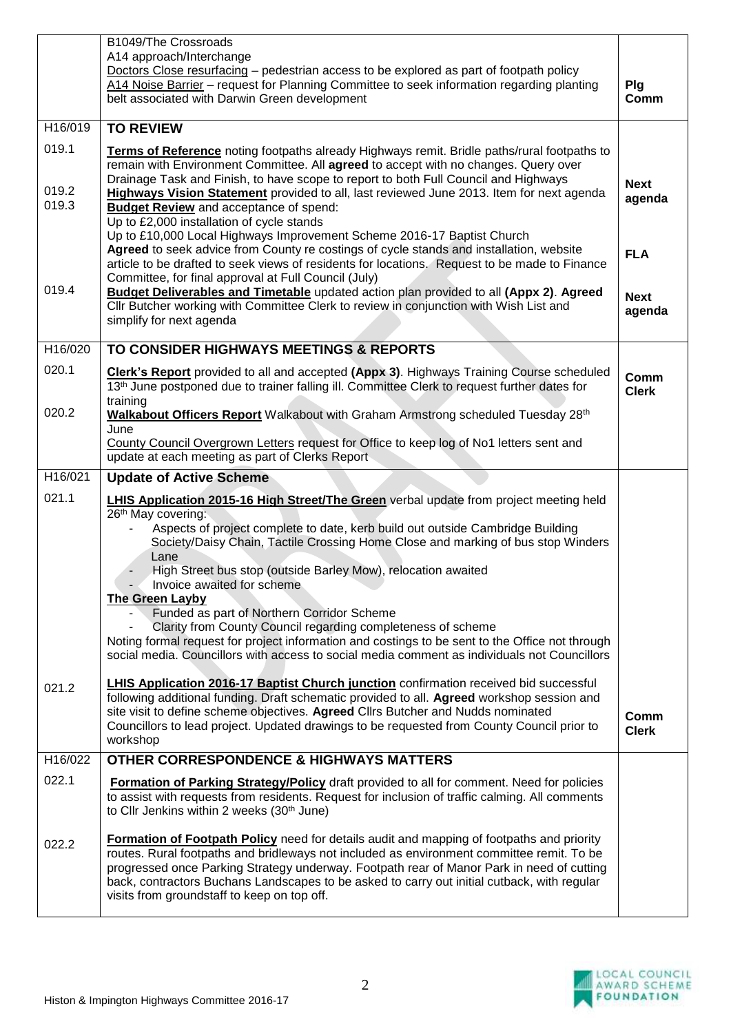|                         | B1049/The Crossroads<br>A14 approach/Interchange<br>Doctors Close resurfacing - pedestrian access to be explored as part of footpath policy<br>A14 Noise Barrier - request for Planning Committee to seek information regarding planting<br>belt associated with Darwin Green development                                                                                                                                         | Plg<br>Comm           |
|-------------------------|-----------------------------------------------------------------------------------------------------------------------------------------------------------------------------------------------------------------------------------------------------------------------------------------------------------------------------------------------------------------------------------------------------------------------------------|-----------------------|
| H16/019                 | <b>TO REVIEW</b>                                                                                                                                                                                                                                                                                                                                                                                                                  |                       |
| 019.1<br>019.2<br>019.3 | Terms of Reference noting footpaths already Highways remit. Bridle paths/rural footpaths to<br>remain with Environment Committee. All agreed to accept with no changes. Query over<br>Drainage Task and Finish, to have scope to report to both Full Council and Highways<br>Highways Vision Statement provided to all, last reviewed June 2013. Item for next agenda<br><b>Budget Review</b> and acceptance of spend:            | <b>Next</b><br>agenda |
| 019.4                   | Up to £2,000 installation of cycle stands<br>Up to £10,000 Local Highways Improvement Scheme 2016-17 Baptist Church<br>Agreed to seek advice from County re costings of cycle stands and installation, website<br>article to be drafted to seek views of residents for locations. Request to be made to Finance<br>Committee, for final approval at Full Council (July)                                                           | <b>FLA</b>            |
|                         | <b>Budget Deliverables and Timetable updated action plan provided to all (Appx 2). Agreed</b><br>CIIr Butcher working with Committee Clerk to review in conjunction with Wish List and<br>simplify for next agenda                                                                                                                                                                                                                | <b>Next</b><br>agenda |
| H16/020                 | TO CONSIDER HIGHWAYS MEETINGS & REPORTS                                                                                                                                                                                                                                                                                                                                                                                           |                       |
| 020.1                   | <b>Clerk's Report</b> provided to all and accepted (Appx 3). Highways Training Course scheduled<br>13 <sup>th</sup> June postponed due to trainer falling ill. Committee Clerk to request further dates for<br>training                                                                                                                                                                                                           | Comm<br><b>Clerk</b>  |
| 020.2                   | Walkabout Officers Report Walkabout with Graham Armstrong scheduled Tuesday 28th<br>June                                                                                                                                                                                                                                                                                                                                          |                       |
|                         | County Council Overgrown Letters request for Office to keep log of No1 letters sent and<br>update at each meeting as part of Clerks Report                                                                                                                                                                                                                                                                                        |                       |
| H16/021                 | <b>Update of Active Scheme</b>                                                                                                                                                                                                                                                                                                                                                                                                    |                       |
| 021.1                   | <b>LHIS Application 2015-16 High Street/The Green</b> verbal update from project meeting held<br>26 <sup>th</sup> May covering:<br>Aspects of project complete to date, kerb build out outside Cambridge Building<br>Society/Daisy Chain, Tactile Crossing Home Close and marking of bus stop Winders<br>Lane                                                                                                                     |                       |
|                         | High Street bus stop (outside Barley Mow), relocation awaited<br>Invoice awaited for scheme<br><b>The Green Layby</b>                                                                                                                                                                                                                                                                                                             |                       |
|                         | Funded as part of Northern Corridor Scheme<br>Clarity from County Council regarding completeness of scheme                                                                                                                                                                                                                                                                                                                        |                       |
|                         | Noting formal request for project information and costings to be sent to the Office not through<br>social media. Councillors with access to social media comment as individuals not Councillors                                                                                                                                                                                                                                   |                       |
| 021.2                   | <b>LHIS Application 2016-17 Baptist Church junction</b> confirmation received bid successful<br>following additional funding. Draft schematic provided to all. Agreed workshop session and<br>site visit to define scheme objectives. Agreed Cllrs Butcher and Nudds nominated<br>Councillors to lead project. Updated drawings to be requested from County Council prior to<br>workshop                                          | Comm<br><b>Clerk</b>  |
| H16/022                 | <b>OTHER CORRESPONDENCE &amp; HIGHWAYS MATTERS</b>                                                                                                                                                                                                                                                                                                                                                                                |                       |
| 022.1                   | Formation of Parking Strategy/Policy draft provided to all for comment. Need for policies<br>to assist with requests from residents. Request for inclusion of traffic calming. All comments<br>to Cllr Jenkins within 2 weeks (30 <sup>th</sup> June)                                                                                                                                                                             |                       |
| 022.2                   | Formation of Footpath Policy need for details audit and mapping of footpaths and priority<br>routes. Rural footpaths and bridleways not included as environment committee remit. To be<br>progressed once Parking Strategy underway. Footpath rear of Manor Park in need of cutting<br>back, contractors Buchans Landscapes to be asked to carry out initial cutback, with regular<br>visits from groundstaff to keep on top off. |                       |